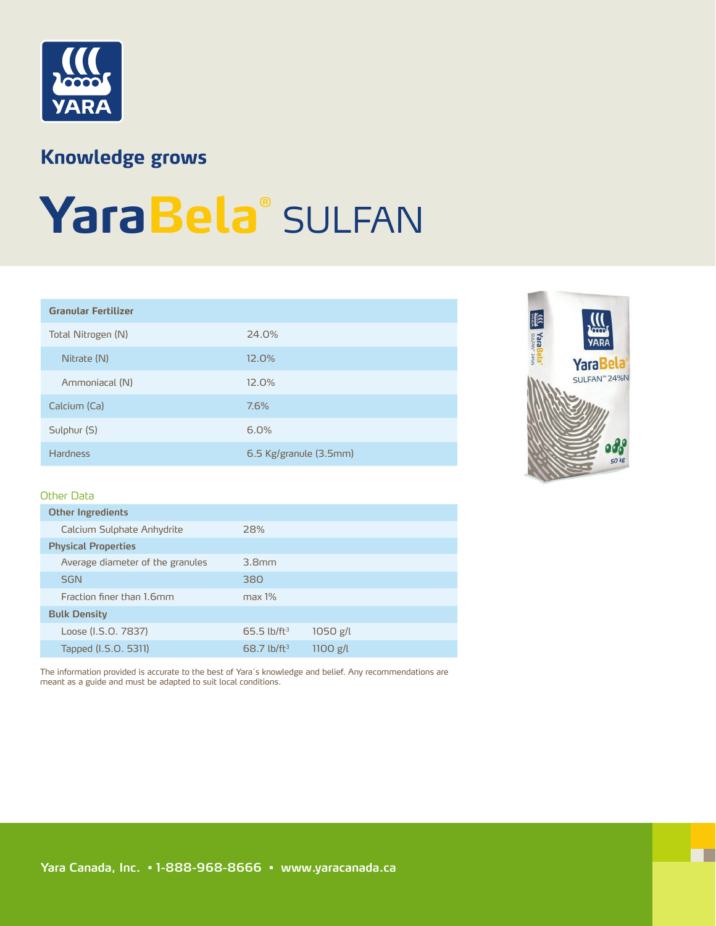

### **Knowledge grows**

# **YaraBela®** SULFAN

| <b>Granular Fertilizer</b> |                        |  |
|----------------------------|------------------------|--|
| Total Nitrogen (N)         | 24.0%                  |  |
| Nitrate (N)                | 12.0%                  |  |
| Ammoniacal (N)             | 12.0%                  |  |
| Calcium (Ca)               | 7.6%                   |  |
| Sulphur (S)                | 6.0%                   |  |
| <b>Hardness</b>            | 6.5 Kg/granule (3.5mm) |  |



Г

#### Other Data

| <b>Other Ingredients</b>         |                           |            |
|----------------------------------|---------------------------|------------|
| Calcium Sulphate Anhydrite       | 28%                       |            |
| <b>Physical Properties</b>       |                           |            |
| Average diameter of the granules | 3.8 <sub>mm</sub>         |            |
| <b>SGN</b>                       | 380                       |            |
| Fraction finer than 1.6mm        | max 1%                    |            |
| <b>Bulk Density</b>              |                           |            |
| Loose (I.S.O. 7837)              | $65.5$ lb/ft <sup>3</sup> | $1050$ g/l |
| Tapped (I.S.O. 5311)             | $68.7$ lb/ft <sup>3</sup> | $1100$ g/l |
|                                  |                           |            |

The information provided is accurate to the best of Yara´s knowledge and belief. Any recommendations are meant as a guide and must be adapted to suit local conditions.